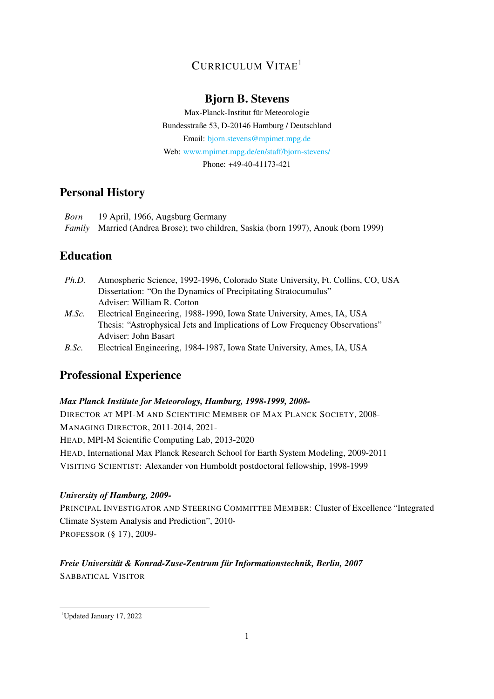# CURRICULUM VITAE[1](#page-0-0)

# Bjorn B. Stevens

Max-Planck-Institut für Meteorologie Bundesstraße 53, D-20146 Hamburg / Deutschland Email: [bjorn.stevens@mpimet.mpg.de](mailto:bjorn.stevens@mpimet.mpg.de) Web: [www.mpimet.mpg.de/en/staff/bjorn-stevens/](http://www.mpimet.mpg.de/en/staff/bjorn-stevens/) Phone: +49-40-41173-421

# Personal History

| Born | 19 April, 1966, Augsburg Germany                                                          |
|------|-------------------------------------------------------------------------------------------|
|      | <i>Family</i> Married (Andrea Brose); two children, Saskia (born 1997), Anouk (born 1999) |

# Education

- *Ph.D.* Atmospheric Science, 1992-1996, Colorado State University, Ft. Collins, CO, USA Dissertation: "On the Dynamics of Precipitating Stratocumulus" Adviser: William R. Cotton
- *M.Sc.* Electrical Engineering, 1988-1990, Iowa State University, Ames, IA, USA Thesis: "Astrophysical Jets and Implications of Low Frequency Observations" Adviser: John Basart
- *B.Sc.* Electrical Engineering, 1984-1987, Iowa State University, Ames, IA, USA

# Professional Experience

## *Max Planck Institute for Meteorology, Hamburg, 1998-1999, 2008-*

DIRECTOR AT MPI-M AND SCIENTIFIC MEMBER OF MAX PLANCK SOCIETY, 2008- MANAGING DIRECTOR, 2011-2014, 2021-

HEAD, MPI-M Scientific Computing Lab, 2013-2020

HEAD, International Max Planck Research School for Earth System Modeling, 2009-2011

VISITING SCIENTIST: Alexander von Humboldt postdoctoral fellowship, 1998-1999

## *University of Hamburg, 2009-*

PRINCIPAL INVESTIGATOR AND STEERING COMMITTEE MEMBER: Cluster of Excellence "Integrated Climate System Analysis and Prediction", 2010- PROFESSOR (§ 17), 2009-

## *Freie Universität & Konrad-Zuse-Zentrum für Informationstechnik, Berlin, 2007* SABBATICAL VISITOR

<span id="page-0-0"></span><sup>1</sup>Updated January 17, 2022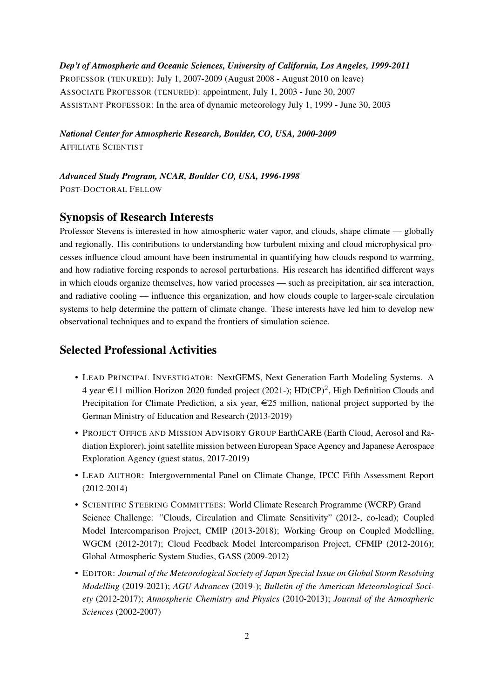*Dep't of Atmospheric and Oceanic Sciences, University of California, Los Angeles, 1999-2011* PROFESSOR (TENURED): July 1, 2007-2009 (August 2008 - August 2010 on leave) ASSOCIATE PROFESSOR (TENURED): appointment, July 1, 2003 - June 30, 2007 ASSISTANT PROFESSOR: In the area of dynamic meteorology July 1, 1999 - June 30, 2003

*National Center for Atmospheric Research, Boulder, CO, USA, 2000-2009* AFFILIATE SCIENTIST

*Advanced Study Program, NCAR, Boulder CO, USA, 1996-1998* POST-DOCTORAL FELLOW

#### Synopsis of Research Interests

Professor Stevens is interested in how atmospheric water vapor, and clouds, shape climate — globally and regionally. His contributions to understanding how turbulent mixing and cloud microphysical processes influence cloud amount have been instrumental in quantifying how clouds respond to warming, and how radiative forcing responds to aerosol perturbations. His research has identified different ways in which clouds organize themselves, how varied processes — such as precipitation, air sea interaction, and radiative cooling — influence this organization, and how clouds couple to larger-scale circulation systems to help determine the pattern of climate change. These interests have led him to develop new observational techniques and to expand the frontiers of simulation science.

## Selected Professional Activities

- LEAD PRINCIPAL INVESTIGATOR: NextGEMS, Next Generation Earth Modeling Systems. A 4 year  $\in$ 11 million Horizon 2020 funded project (2021-); HD(CP)<sup>2</sup>, High Definition Clouds and Precipitation for Climate Prediction, a six year,  $\epsilon$ 25 million, national project supported by the German Ministry of Education and Research (2013-2019)
- PROJECT OFFICE AND MISSION ADVISORY GROUP EarthCARE (Earth Cloud, Aerosol and Radiation Explorer), joint satellite mission between European Space Agency and Japanese Aerospace Exploration Agency (guest status, 2017-2019)
- LEAD AUTHOR: Intergovernmental Panel on Climate Change, IPCC Fifth Assessment Report (2012-2014)
- SCIENTIFIC STEERING COMMITTEES: World Climate Research Programme (WCRP) Grand Science Challenge: "Clouds, Circulation and Climate Sensitivity" (2012-, co-lead); Coupled Model Intercomparison Project, CMIP (2013-2018); Working Group on Coupled Modelling, WGCM (2012-2017); Cloud Feedback Model Intercomparison Project, CFMIP (2012-2016); Global Atmospheric System Studies, GASS (2009-2012)
- EDITOR: *Journal of the Meteorological Society of Japan Special Issue on Global Storm Resolving Modelling* (2019-2021); *AGU Advances* (2019-); *Bulletin of the American Meteorological Society* (2012-2017); *Atmospheric Chemistry and Physics* (2010-2013); *Journal of the Atmospheric Sciences* (2002-2007)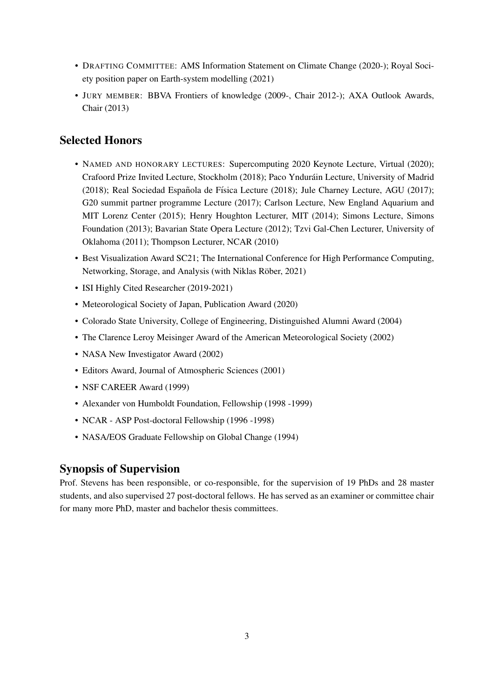- DRAFTING COMMITTEE: AMS Information Statement on Climate Change (2020-); Royal Society position paper on Earth-system modelling (2021)
- JURY MEMBER: BBVA Frontiers of knowledge (2009-, Chair 2012-); AXA Outlook Awards, Chair (2013)

## Selected Honors

- NAMED AND HONORARY LECTURES: Supercomputing 2020 Keynote Lecture, Virtual (2020); Crafoord Prize Invited Lecture, Stockholm (2018); Paco Yndurain Lecture, University of Madrid ´ (2018); Real Sociedad Española de Física Lecture (2018); Jule Charney Lecture, AGU (2017); G20 summit partner programme Lecture (2017); Carlson Lecture, New England Aquarium and MIT Lorenz Center (2015); Henry Houghton Lecturer, MIT (2014); Simons Lecture, Simons Foundation (2013); Bavarian State Opera Lecture (2012); Tzvi Gal-Chen Lecturer, University of Oklahoma (2011); Thompson Lecturer, NCAR (2010)
- Best Visualization Award SC21; The International Conference for High Performance Computing, Networking, Storage, and Analysis (with Niklas Röber, 2021)
- ISI Highly Cited Researcher (2019-2021)
- Meteorological Society of Japan, Publication Award (2020)
- Colorado State University, College of Engineering, Distinguished Alumni Award (2004)
- The Clarence Leroy Meisinger Award of the American Meteorological Society (2002)
- NASA New Investigator Award (2002)
- Editors Award, Journal of Atmospheric Sciences (2001)
- NSF CAREER Award (1999)
- Alexander von Humboldt Foundation, Fellowship (1998 -1999)
- NCAR ASP Post-doctoral Fellowship (1996 -1998)
- NASA/EOS Graduate Fellowship on Global Change (1994)

#### Synopsis of Supervision

Prof. Stevens has been responsible, or co-responsible, for the supervision of 19 PhDs and 28 master students, and also supervised 27 post-doctoral fellows. He has served as an examiner or committee chair for many more PhD, master and bachelor thesis committees.